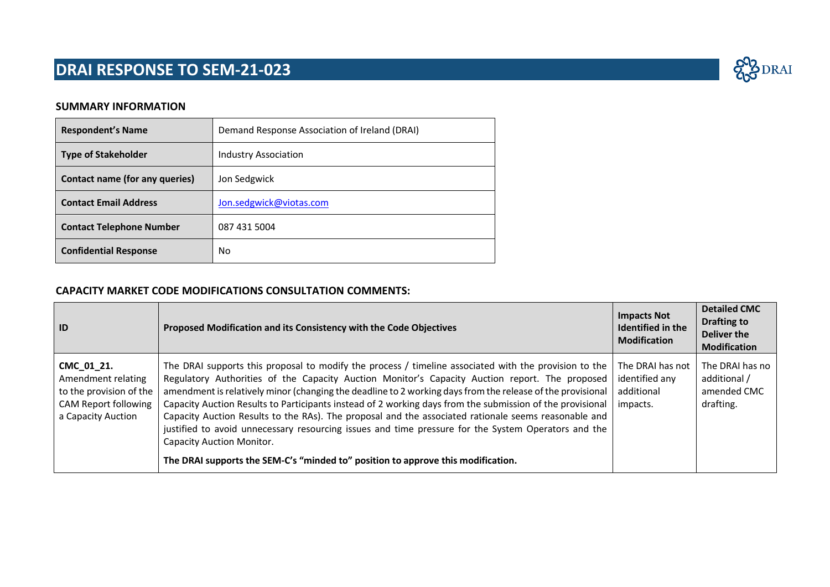#### **SUMMARY INFORMATION**

| <b>Respondent's Name</b>        | Demand Response Association of Ireland (DRAI) |
|---------------------------------|-----------------------------------------------|
| <b>Type of Stakeholder</b>      | <b>Industry Association</b>                   |
| Contact name (for any queries)  | Jon Sedgwick                                  |
| <b>Contact Email Address</b>    | Jon.sedgwick@viotas.com                       |
| <b>Contact Telephone Number</b> | 087 431 5004                                  |
| <b>Confidential Response</b>    | No                                            |

### **CAPACITY MARKET CODE MODIFICATIONS CONSULTATION COMMENTS:**

| ID                                                                                                               | Proposed Modification and its Consistency with the Code Objectives                                                                                                                                                                                                                                                                                                                                                                                                                                                                                                                                                                                                                                                                                                        | <b>Impacts Not</b><br>Identified in the<br><b>Modification</b> | <b>Detailed CMC</b><br>Drafting to<br>Deliver the<br><b>Modification</b> |
|------------------------------------------------------------------------------------------------------------------|---------------------------------------------------------------------------------------------------------------------------------------------------------------------------------------------------------------------------------------------------------------------------------------------------------------------------------------------------------------------------------------------------------------------------------------------------------------------------------------------------------------------------------------------------------------------------------------------------------------------------------------------------------------------------------------------------------------------------------------------------------------------------|----------------------------------------------------------------|--------------------------------------------------------------------------|
| CMC_01_21.<br>Amendment relating<br>to the provision of the<br><b>CAM Report following</b><br>a Capacity Auction | The DRAI supports this proposal to modify the process / timeline associated with the provision to the<br>Regulatory Authorities of the Capacity Auction Monitor's Capacity Auction report. The proposed<br>amendment is relatively minor (changing the deadline to 2 working days from the release of the provisional<br>Capacity Auction Results to Participants instead of 2 working days from the submission of the provisional<br>Capacity Auction Results to the RAs). The proposal and the associated rationale seems reasonable and<br>justified to avoid unnecessary resourcing issues and time pressure for the System Operators and the<br><b>Capacity Auction Monitor.</b><br>The DRAI supports the SEM-C's "minded to" position to approve this modification. | The DRAI has not<br>identified any<br>additional<br>impacts.   | The DRAI has no<br>additional /<br>amended CMC<br>drafting.              |

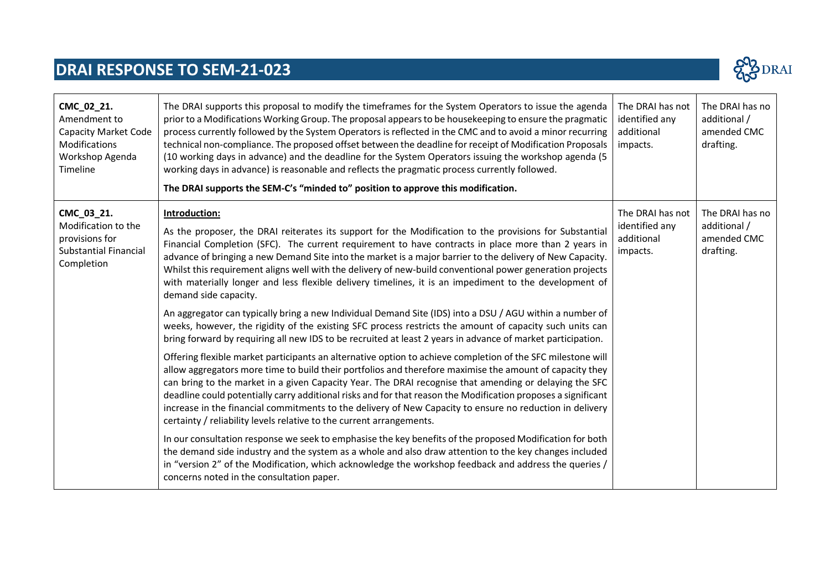

| CMC_02_21.<br>Amendment to<br><b>Capacity Market Code</b><br>Modifications<br>Workshop Agenda<br>Timeline | The DRAI supports this proposal to modify the timeframes for the System Operators to issue the agenda<br>prior to a Modifications Working Group. The proposal appears to be housekeeping to ensure the pragmatic<br>process currently followed by the System Operators is reflected in the CMC and to avoid a minor recurring<br>technical non-compliance. The proposed offset between the deadline for receipt of Modification Proposals<br>(10 working days in advance) and the deadline for the System Operators issuing the workshop agenda (5<br>working days in advance) is reasonable and reflects the pragmatic process currently followed.<br>The DRAI supports the SEM-C's "minded to" position to approve this modification. | The DRAI has not<br>identified any<br>additional<br>impacts. | The DRAI has no<br>additional /<br>amended CMC<br>drafting. |
|-----------------------------------------------------------------------------------------------------------|-----------------------------------------------------------------------------------------------------------------------------------------------------------------------------------------------------------------------------------------------------------------------------------------------------------------------------------------------------------------------------------------------------------------------------------------------------------------------------------------------------------------------------------------------------------------------------------------------------------------------------------------------------------------------------------------------------------------------------------------|--------------------------------------------------------------|-------------------------------------------------------------|
| CMC_03_21.<br>Modification to the<br>provisions for<br><b>Substantial Financial</b><br>Completion         | Introduction:<br>As the proposer, the DRAI reiterates its support for the Modification to the provisions for Substantial<br>Financial Completion (SFC). The current requirement to have contracts in place more than 2 years in<br>advance of bringing a new Demand Site into the market is a major barrier to the delivery of New Capacity.<br>Whilst this requirement aligns well with the delivery of new-build conventional power generation projects<br>with materially longer and less flexible delivery timelines, it is an impediment to the development of<br>demand side capacity.                                                                                                                                            | The DRAI has not<br>identified any<br>additional<br>impacts. | The DRAI has no<br>additional /<br>amended CMC<br>drafting. |
|                                                                                                           | An aggregator can typically bring a new Individual Demand Site (IDS) into a DSU / AGU within a number of<br>weeks, however, the rigidity of the existing SFC process restricts the amount of capacity such units can<br>bring forward by requiring all new IDS to be recruited at least 2 years in advance of market participation.                                                                                                                                                                                                                                                                                                                                                                                                     |                                                              |                                                             |
|                                                                                                           | Offering flexible market participants an alternative option to achieve completion of the SFC milestone will<br>allow aggregators more time to build their portfolios and therefore maximise the amount of capacity they<br>can bring to the market in a given Capacity Year. The DRAI recognise that amending or delaying the SFC<br>deadline could potentially carry additional risks and for that reason the Modification proposes a significant<br>increase in the financial commitments to the delivery of New Capacity to ensure no reduction in delivery<br>certainty / reliability levels relative to the current arrangements.                                                                                                  |                                                              |                                                             |
|                                                                                                           | In our consultation response we seek to emphasise the key benefits of the proposed Modification for both<br>the demand side industry and the system as a whole and also draw attention to the key changes included<br>in "version 2" of the Modification, which acknowledge the workshop feedback and address the queries /<br>concerns noted in the consultation paper.                                                                                                                                                                                                                                                                                                                                                                |                                                              |                                                             |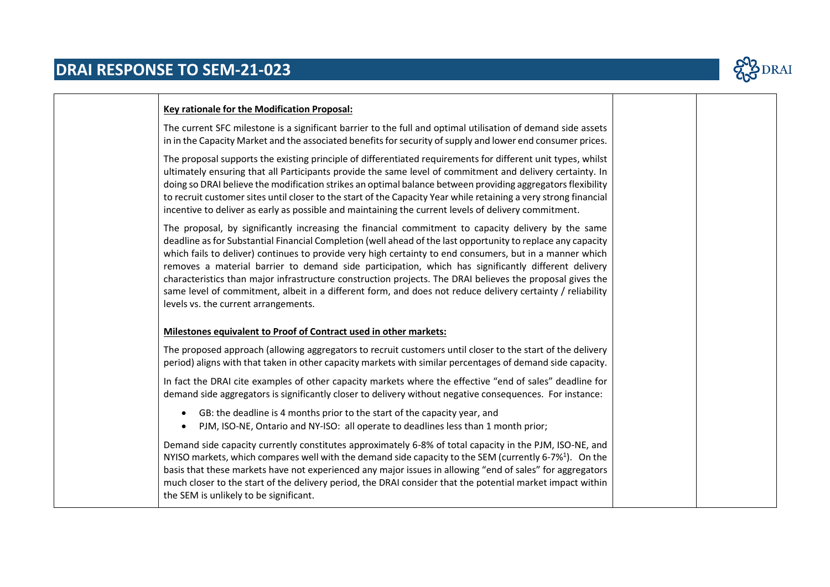

### **Key rationale for the Modification Proposal:** The current SFC milestone is a significant barrier to the full and optimal utilisation of demand side assets in in the Capacity Market and the associated benefits for security of supply and lower end consumer prices. The proposal supports the existing principle of differentiated requirements for different unit types, whilst ultimately ensuring that all Participants provide the same level of commitment and delivery certainty. In doing so DRAI believe the modification strikes an optimal balance between providing aggregators flexibility to recruit customer sites until closer to the start of the Capacity Year while retaining a very strong financial incentive to deliver as early as possible and maintaining the current levels of delivery commitment. The proposal, by significantly increasing the financial commitment to capacity delivery by the same deadline as for Substantial Financial Completion (well ahead of the last opportunity to replace any capacity which fails to deliver) continues to provide very high certainty to end consumers, but in a manner which removes a material barrier to demand side participation, which has significantly different delivery characteristics than major infrastructure construction projects. The DRAI believes the proposal gives the same level of commitment, albeit in a different form, and does not reduce delivery certainty / reliability levels vs. the current arrangements. **Milestones equivalent to Proof of Contract used in other markets:** The proposed approach (allowing aggregators to recruit customers until closer to the start of the delivery period) aligns with that taken in other capacity markets with similar percentages of demand side capacity. In fact the DRAI cite examples of other capacity markets where the effective "end of sales" deadline for demand side aggregators is significantly closer to delivery without negative consequences. For instance: • GB: the deadline is 4 months prior to the start of the capacity year, and • PJM, ISO-NE, Ontario and NY-ISO: all operate to deadlines less than 1 month prior; Demand side capacity currently constitutes approximately 6-8% of total capacity in the PJM, ISO-NE, and NYISO markets, which compares well with the demand side capacity to the SEM (currently 6-7% $^4$ ). On the basis that these markets have not experienced any major issues in allowing "end of sales" for aggregators much closer to the start of the delivery period, the DRAI consider that the potential market impact within the SEM is unlikely to be significant.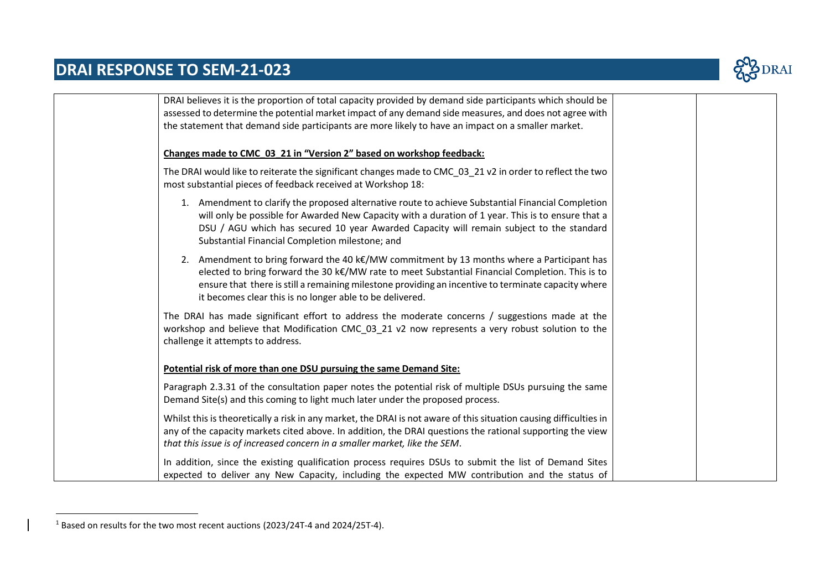

| DRAI believes it is the proportion of total capacity provided by demand side participants which should be                                                                                                                                                                                                                                                                  |
|----------------------------------------------------------------------------------------------------------------------------------------------------------------------------------------------------------------------------------------------------------------------------------------------------------------------------------------------------------------------------|
| assessed to determine the potential market impact of any demand side measures, and does not agree with<br>the statement that demand side participants are more likely to have an impact on a smaller market.                                                                                                                                                               |
|                                                                                                                                                                                                                                                                                                                                                                            |
| Changes made to CMC_03_21 in "Version 2" based on workshop feedback:                                                                                                                                                                                                                                                                                                       |
| The DRAI would like to reiterate the significant changes made to CMC_03_21 v2 in order to reflect the two<br>most substantial pieces of feedback received at Workshop 18:                                                                                                                                                                                                  |
| 1. Amendment to clarify the proposed alternative route to achieve Substantial Financial Completion<br>will only be possible for Awarded New Capacity with a duration of 1 year. This is to ensure that a<br>DSU / AGU which has secured 10 year Awarded Capacity will remain subject to the standard<br>Substantial Financial Completion milestone; and                    |
| 2. Amendment to bring forward the 40 $k\epsilon$ /MW commitment by 13 months where a Participant has<br>elected to bring forward the 30 k€/MW rate to meet Substantial Financial Completion. This is to<br>ensure that there is still a remaining milestone providing an incentive to terminate capacity where<br>it becomes clear this is no longer able to be delivered. |
| The DRAI has made significant effort to address the moderate concerns / suggestions made at the<br>workshop and believe that Modification CMC 03 21 v2 now represents a very robust solution to the<br>challenge it attempts to address.                                                                                                                                   |
| Potential risk of more than one DSU pursuing the same Demand Site:                                                                                                                                                                                                                                                                                                         |
| Paragraph 2.3.31 of the consultation paper notes the potential risk of multiple DSUs pursuing the same<br>Demand Site(s) and this coming to light much later under the proposed process.                                                                                                                                                                                   |
| Whilst this is theoretically a risk in any market, the DRAI is not aware of this situation causing difficulties in<br>any of the capacity markets cited above. In addition, the DRAI questions the rational supporting the view<br>that this issue is of increased concern in a smaller market, like the SEM.                                                              |
| In addition, since the existing qualification process requires DSUs to submit the list of Demand Sites<br>expected to deliver any New Capacity, including the expected MW contribution and the status of                                                                                                                                                                   |

<sup>1</sup> Based on results for the two most recent auctions (2023/24T-4 and 2024/25T-4).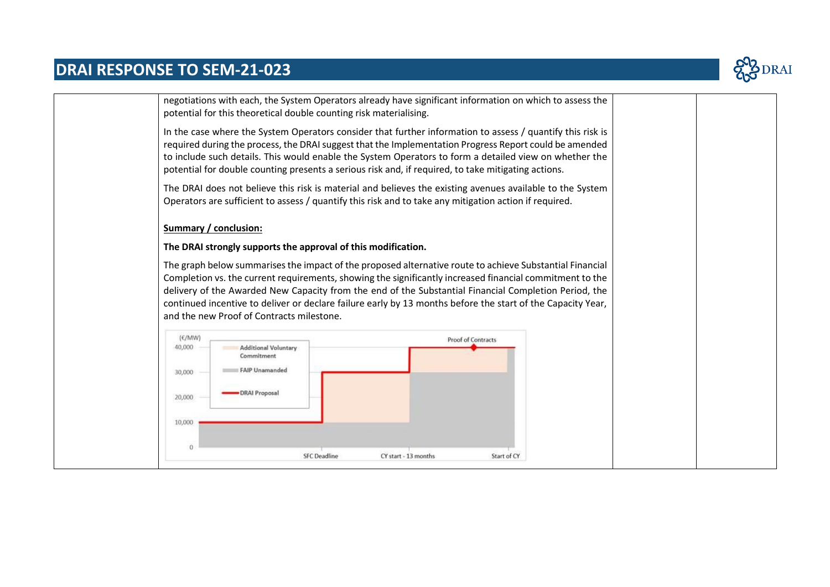

|                              | negotiations with each, the System Operators already have significant information on which to assess the<br>potential for this theoretical double counting risk materialising. |                                                                                                                                                                                                                                                                                                                                                                                                                                       |  |  |
|------------------------------|--------------------------------------------------------------------------------------------------------------------------------------------------------------------------------|---------------------------------------------------------------------------------------------------------------------------------------------------------------------------------------------------------------------------------------------------------------------------------------------------------------------------------------------------------------------------------------------------------------------------------------|--|--|
|                              |                                                                                                                                                                                | In the case where the System Operators consider that further information to assess / quantify this risk is<br>required during the process, the DRAI suggest that the Implementation Progress Report could be amended<br>to include such details. This would enable the System Operators to form a detailed view on whether the<br>potential for double counting presents a serious risk and, if required, to take mitigating actions. |  |  |
|                              |                                                                                                                                                                                | The DRAI does not believe this risk is material and believes the existing avenues available to the System<br>Operators are sufficient to assess / quantify this risk and to take any mitigation action if required.                                                                                                                                                                                                                   |  |  |
| Summary / conclusion:        |                                                                                                                                                                                |                                                                                                                                                                                                                                                                                                                                                                                                                                       |  |  |
|                              | The DRAI strongly supports the approval of this modification.                                                                                                                  |                                                                                                                                                                                                                                                                                                                                                                                                                                       |  |  |
|                              |                                                                                                                                                                                | The graph below summarises the impact of the proposed alternative route to achieve Substantial Financial<br>Completion vs. the current requirements, showing the significantly increased financial commitment to the<br>delivery of the Awarded New Capacity from the end of the Substantial Financial Completion Period, the                                                                                                         |  |  |
|                              | and the new Proof of Contracts milestone.                                                                                                                                      | continued incentive to deliver or declare failure early by 13 months before the start of the Capacity Year,                                                                                                                                                                                                                                                                                                                           |  |  |
| (E/ M W)<br>40,000<br>30,000 | <b>Additional Voluntary</b><br>Commitment<br><b>FAIP Unamanded</b>                                                                                                             | Proof of Contracts                                                                                                                                                                                                                                                                                                                                                                                                                    |  |  |
| 20,000<br>10,000             | DRAI Proposal                                                                                                                                                                  |                                                                                                                                                                                                                                                                                                                                                                                                                                       |  |  |
| $\theta$                     |                                                                                                                                                                                |                                                                                                                                                                                                                                                                                                                                                                                                                                       |  |  |